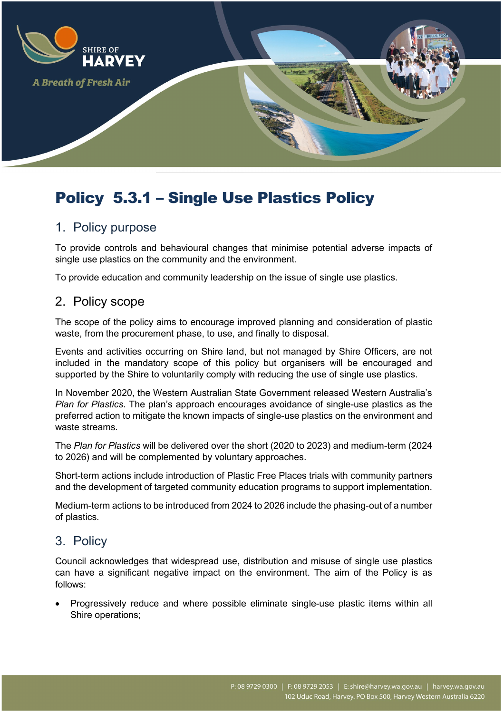

# Policy 5.3.1 – Single Use Plastics Policy

# 1. Policy purpose

To provide controls and behavioural changes that minimise potential adverse impacts of single use plastics on the community and the environment.

To provide education and community leadership on the issue of single use plastics.

# 2. Policy scope

The scope of the policy aims to encourage improved planning and consideration of plastic waste, from the procurement phase, to use, and finally to disposal.

Events and activities occurring on Shire land, but not managed by Shire Officers, are not included in the mandatory scope of this policy but organisers will be encouraged and supported by the Shire to voluntarily comply with reducing the use of single use plastics.

In November 2020, the Western Australian State Government released Western Australia's *Plan for Plastics*. The plan's approach encourages avoidance of single-use plastics as the preferred action to mitigate the known impacts of single-use plastics on the environment and waste streams.

The *Plan for Plastics* will be delivered over the short (2020 to 2023) and medium-term (2024 to 2026) and will be complemented by voluntary approaches.

Short-term actions include introduction of Plastic Free Places trials with community partners and the development of targeted community education programs to support implementation.

Medium-term actions to be introduced from 2024 to 2026 include the phasing-out of a number of plastics.

# 3. Policy

Council acknowledges that widespread use, distribution and misuse of single use plastics can have a significant negative impact on the environment. The aim of the Policy is as follows:

• Progressively reduce and where possible eliminate single-use plastic items within all Shire operations;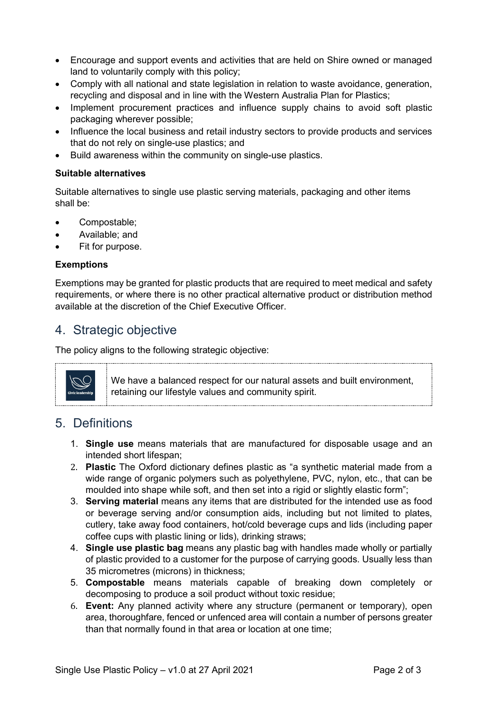- Encourage and support events and activities that are held on Shire owned or managed land to voluntarily comply with this policy;
- Comply with all national and state legislation in relation to waste avoidance, generation, recycling and disposal and in line with the Western Australia Plan for Plastics;
- Implement procurement practices and influence supply chains to avoid soft plastic packaging wherever possible;
- Influence the local business and retail industry sectors to provide products and services that do not rely on single-use plastics; and
- Build awareness within the community on single-use plastics.

#### **Suitable alternatives**

Suitable alternatives to single use plastic serving materials, packaging and other items shall be:

- Compostable;
- Available; and
- Fit for purpose.

#### **Exemptions**

Exemptions may be granted for plastic products that are required to meet medical and safety requirements, or where there is no other practical alternative product or distribution method available at the discretion of the Chief Executive Officer.

### 4. Strategic objective

The policy aligns to the following strategic objective:



We have a balanced respect for our natural assets and built environment, retaining our lifestyle values and community spirit.

# 5. Definitions

- 1. **Single use** means materials that are manufactured for disposable usage and an intended short lifespan;
- 2. **Plastic** The Oxford dictionary defines plastic as "a synthetic material made from a wide range of organic polymers such as polyethylene, PVC, nylon, etc., that can be moulded into shape while soft, and then set into a rigid or slightly elastic form";
- 3. **Serving material** means any items that are distributed for the intended use as food or beverage serving and/or consumption aids, including but not limited to plates, cutlery, take away food containers, hot/cold beverage cups and lids (including paper coffee cups with plastic lining or lids), drinking straws;
- 4. **Single use plastic bag** means any plastic bag with handles made wholly or partially of plastic provided to a customer for the purpose of carrying goods. Usually less than 35 micrometres (microns) in thickness;
- 5. **Compostable** means materials capable of breaking down completely or decomposing to produce a soil product without toxic residue;
- 6. **Event:** Any planned activity where any structure (permanent or temporary), open area, thoroughfare, fenced or unfenced area will contain a number of persons greater than that normally found in that area or location at one time;